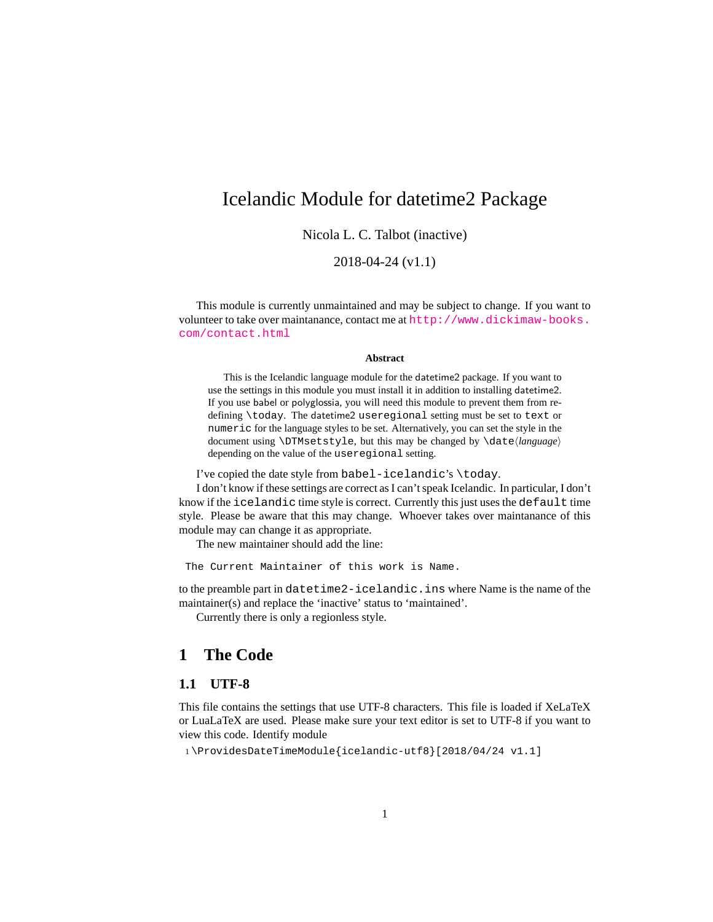## <span id="page-0-0"></span>Icelandic Module for datetime2 Package

Nicola L. C. Talbot (inactive)

2018-04-24 (v1.1)

This module is currently unmaintained and may be subject to change. If you want to volunteer to take over maintanance, contact me at [http://www.dickimaw-books.](http://www.dickimaw-books.com/contact.html) [com/contact.html](http://www.dickimaw-books.com/contact.html)

#### **Abstract**

This is the Icelandic language module for the datetime2 package. If you want to use the settings in this module you must install it in addition to installing datetime2. If you use babel or polyglossia, you will need this module to prevent them from redefining \today. The datetime2 useregional setting must be set to text or numeric for the language styles to be set. Alternatively, you can set the style in the document using \DTMsetstyle, but this may be changed by \date*⟨language⟩* depending on the value of the useregional setting.

I've copied the date style from babel-icelandic's \today.

I don't know if these settings are correct as I can't speak Icelandic. In particular, I don't know if the icelandic time style is correct. Currently this just uses the default time style. Please be aware that this may change. Whoever takes over maintanance of this module may can change it as appropriate.

The new maintainer should add the line:

The Current Maintainer of this work is Name.

to the preamble part in datetime2-icelandic.ins where Name is the name of the maintainer(s) and replace the 'inactive' status to 'maintained'.

Currently there is only a regionless style.

### **1 The Code**

#### **1.1 UTF-8**

This file contains the settings that use UTF-8 characters. This file is loaded if XeLaTeX or LuaLaTeX are used. Please make sure your text editor is set to UTF-8 if you want to view this code. Identify module

1 \ProvidesDateTimeModule{icelandic-utf8}[2018/04/24 v1.1]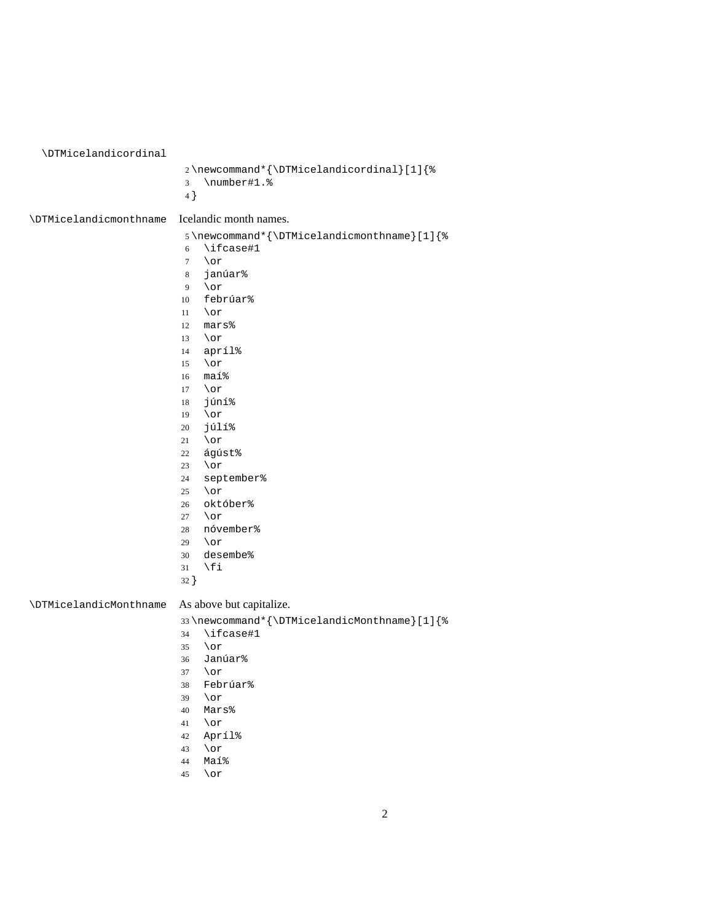<span id="page-1-0"></span>\DTMicelandicordinal \newcommand\*{\DTMicelandicordinal}[1]{% \number#1.% } \DTMicelandicmonthname Icelandic month names. \newcommand\*{\DTMicelandicmonthname}[1]{% \ifcase#1 \or janúar%  $9 \sqrt{or}$  febrúar% \or<br> $12$  mars mars% \or apríl% \or maí% \or júní% \or júlí% \or ágúst% \or september% \or október% \or nóvember% \or desembe% \fi } \DTMicelandicMonthname As above but capitalize. \newcommand\*{\DTMicelandicMonthname}[1]{% \ifcase#1<br> $35$  \or \or Janúar% \or Febrúar% \or Mars% \or Apríl% \or

- Maí%
- \or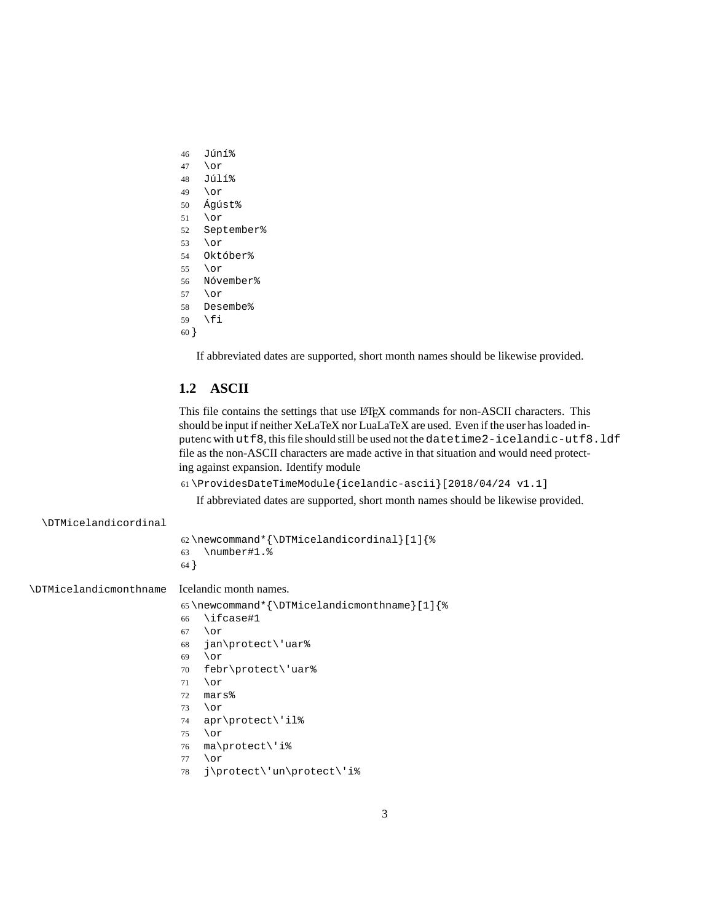- <span id="page-2-0"></span>Júní%
- \or
- Júlí%
- \or
- Ágúst%
- \or September%
- \or
- Október%
- \or
- Nóvember%
- \or
- Desembe%
- \fi
- }

If abbreviated dates are supported, short month names should be likewise provided.

#### **1.2 ASCII**

This file contains the settings that use LATEX commands for non-ASCII characters. This should be input if neither XeLaTeX nor LuaLaTeX are used. Even if the user has loaded inputenc with utf8, this file should still be used not the datetime2-icelandic-utf8.ldf file as the non-ASCII characters are made active in that situation and would need protecting against expansion. Identify module

\ProvidesDateTimeModule{icelandic-ascii}[2018/04/24 v1.1]

If abbreviated dates are supported, short month names should be likewise provided.

#### \DTMicelandicordinal

|      | 62\newcommand*{\DTMicelandicordinal}[1]{% |
|------|-------------------------------------------|
|      | 63 \number#1.%                            |
| 64 } |                                           |

\DTMicelandicmonthname Icelandic month names.

```
65 \newcommand*{\DTMicelandicmonthname}[1]{%
```
- \ifcase#1
- \or
- jan\protect\'uar%
- \or
- febr\protect\'uar%
- \or
- mars%
- \or
- apr\protect\'il%
- $75 \overline{\phantom{a} \text{O}}$ ma\protect\'i%
- \or
- j\protect\'un\protect\'i%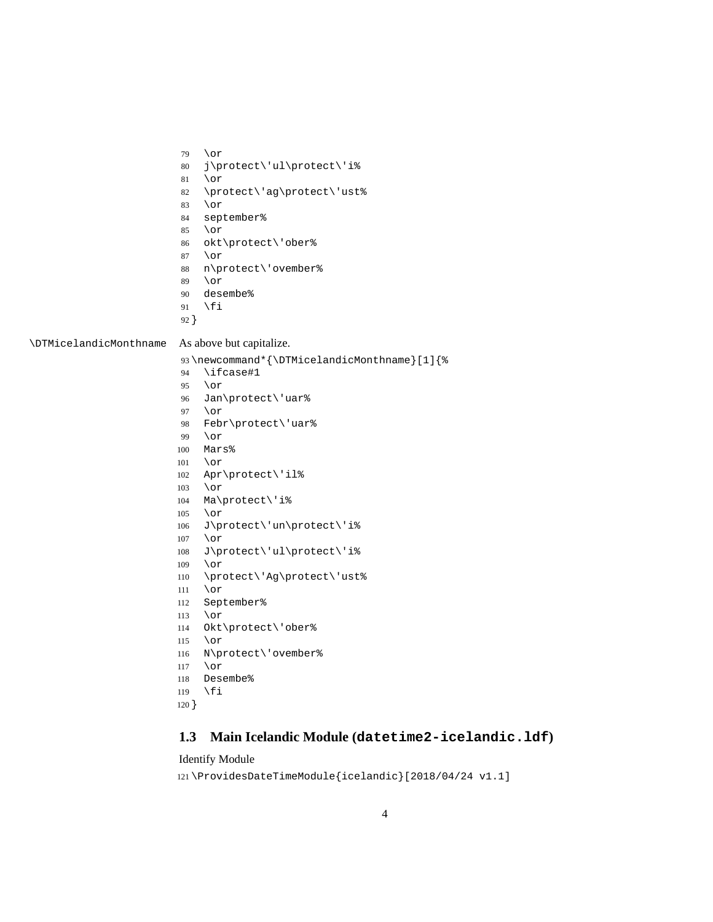- <span id="page-3-0"></span>\or
- j\protect\'ul\protect\'i%
- \or
- \protect\'ag\protect\'ust%
- \or
- september%
- \or
- okt\protect\'ober%
- \or
- n\protect\'ovember%
- \or
- desembe%
- \fi
- }

#### \DTMicelandicMonthname As above but capitalize.

- \newcommand\*{\DTMicelandicMonthname}[1]{%
- \ifcase#1
- \or
- Jan\protect\'uar%
- \or
- Febr\protect\'uar%
- \or
- Mars%
- \or
- Apr\protect\'il%
- \or
- Ma\protect\'i%
- \or
- J\protect\'un\protect\'i%
- \or
- J\protect\'ul\protect\'i%
- \or
- \protect\'Ag\protect\'ust%
- \or
- September%
- \or
- Okt\protect\'ober%
- \or
- N\protect\'ovember%
- \or
- Desembe%
- \fi
- }

### **1.3 Main Icelandic Module (datetime2-icelandic.ldf)**

Identify Module

\ProvidesDateTimeModule{icelandic}[2018/04/24 v1.1]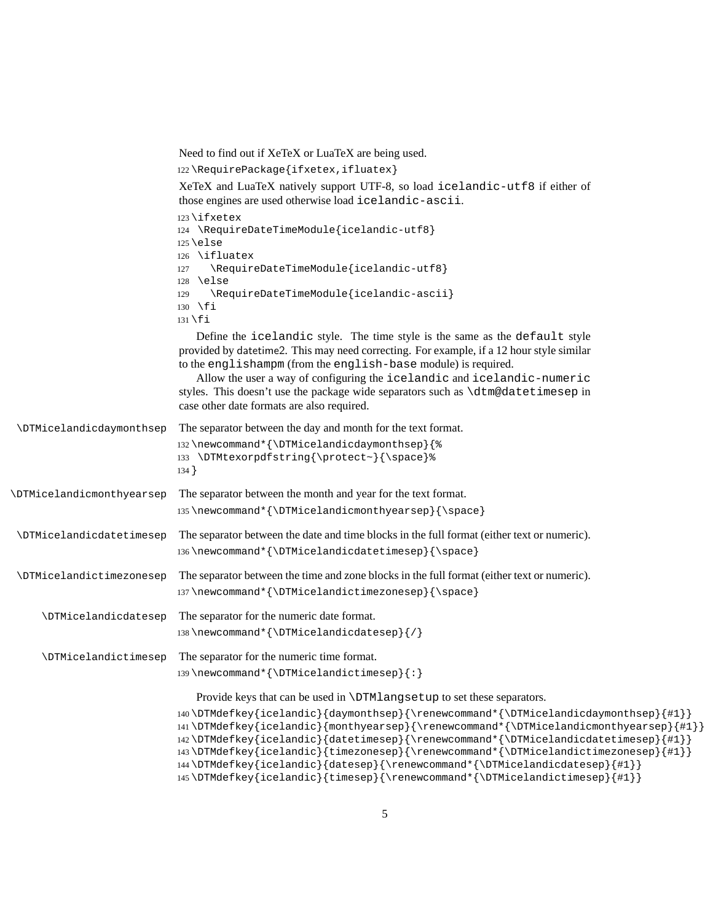<span id="page-4-0"></span>Need to find out if XeTeX or LuaTeX are being used. 122 \RequirePackage{ifxetex, ifluatex} XeTeX and LuaTeX natively support UTF-8, so load icelandic-utf8 if either of those engines are used otherwise load icelandic-ascii. 123 \ifxetex 124 \RequireDateTimeModule{icelandic-utf8} 125 \else 126 \ifluatex 127 \RequireDateTimeModule{icelandic-utf8} 128 \else 129 \RequireDateTimeModule{icelandic-ascii} 130 \fi 131 \fi Define the icelandic style. The time style is the same as the default style provided by datetime2. This may need correcting. For example, if a 12 hour style similar to the englishampm (from the english-base module) is required. Allow the user a way of configuring the icelandic and icelandic-numeric styles. This doesn't use the package wide separators such as \dtm@datetimesep in case other date formats are also required. \DTMicelandicdaymonthsep The separator between the day and month for the text format. 132 \newcommand\*{\DTMicelandicdaymonthsep}{% 133 \DTMtexorpdfstring{\protect~}{\space}% 134 } \DTMicelandicmonthyearsep The separator between the month and year for the text format. 135 \newcommand\*{\DTMicelandicmonthyearsep}{\space} \DTMicelandicdatetimesep The separator between the date and time blocks in the full format (either text or numeric). 136 \newcommand\*{\DTMicelandicdatetimesep}{\space} \DTMicelandictimezonesep The separator between the time and zone blocks in the full format (either text or numeric). 137 \newcommand\*{\DTMicelandictimezonesep}{\space} \DTMicelandicdatesep The separator for the numeric date format. 138 \newcommand\*{\DTMicelandicdatesep}{/} \DTMicelandictimesep The separator for the numeric time format. 139 \newcommand\*{\DTMicelandictimesep}{:} Provide keys that can be used in \DTMlangsetup to set these separators. 140 \DTMdefkey{icelandic}{daymonthsep}{\renewcommand\*{\DTMicelandicdaymonthsep}{#1}} 141 \DTMdefkey{icelandic}{monthyearsep}{\renewcommand\*{\DTMicelandicmonthyearsep}{#1}} 142 \DTMdefkey{icelandic}{datetimesep}{\renewcommand\*{\DTMicelandicdatetimesep}{#1}} 143 \DTMdefkey{icelandic}{timezonesep}{\renewcommand\*{\DTMicelandictimezonesep}{#1}} 144 \DTMdefkey{icelandic}{datesep}{\renewcommand\*{\DTMicelandicdatesep}{#1}} 145 \DTMdefkey{icelandic}{timesep}{\renewcommand\*{\DTMicelandictimesep}{#1}}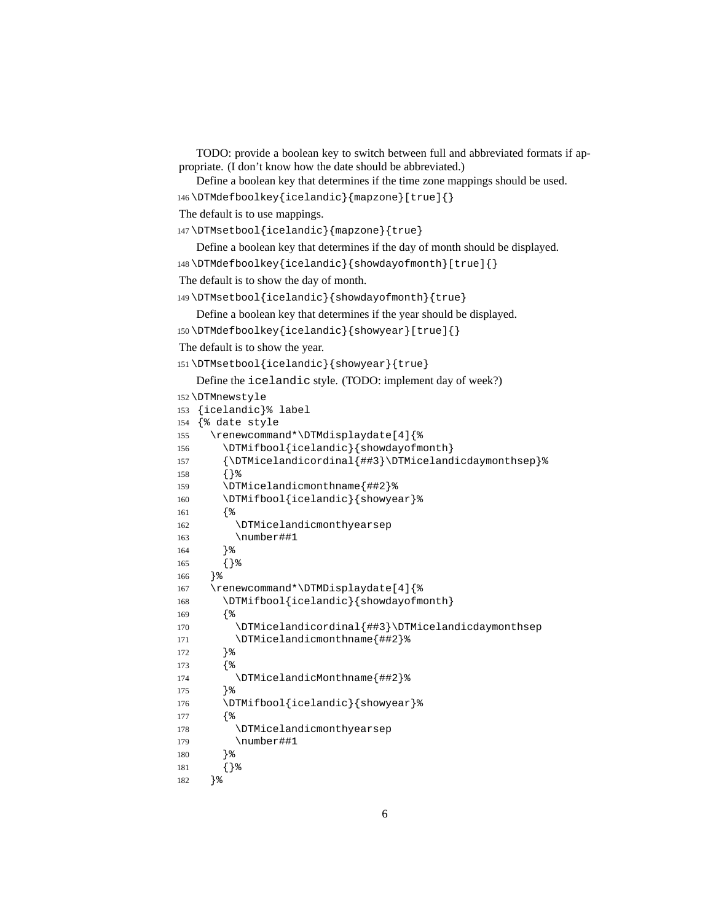```
TODO: provide a boolean key to switch between full and abbreviated formats if ap-
propriate. (I don't know how the date should be abbreviated.)
```
Define a boolean key that determines if the time zone mappings should be used.

```
146 \DTMdefboolkey{icelandic}{mapzone}[true]{}
```
The default is to use mappings.

```
147 \DTMsetbool{icelandic}{mapzone}{true}
```
Define a boolean key that determines if the day of month should be displayed.

\DTMdefboolkey{icelandic}{showdayofmonth}[true]{}

The default is to show the day of month.

```
149 \DTMsetbool{icelandic}{showdayofmonth}{true}
```
Define a boolean key that determines if the year should be displayed.

```
150 \DTMdefboolkey{icelandic}{showyear}[true]{}
```

```
The default is to show the year.
```
\DTMsetbool{icelandic}{showyear}{true}

Define the icelandic style. (TODO: implement day of week?)

```
152 \DTMnewstyle
153 {icelandic}% label
154 {% date style
155 \renewcommand*\DTMdisplaydate[4]{%
156 \DTMifbool{icelandic}{showdayofmonth}
157 {\DTMicelandicordinal{##3}\DTMicelandicdaymonthsep}%
158 {}%
159 \DTMicelandicmonthname{##2}%
160 \DTMifbool{icelandic}{showyear}%
161 {%
162 \DTMicelandicmonthyearsep
163 \number##1
164 }%
165 {}%
166 }%
167 \renewcommand*\DTMDisplaydate[4]{%
168 \DTMifbool{icelandic}{showdayofmonth}
169 {%
170 \DTMicelandicordinal{##3}\DTMicelandicdaymonthsep
171 \DTMicelandicmonthname{##2}%
172 }%
173 {%
174 \DTMicelandicMonthname{##2}%
175 }%
176 \DTMifbool{icelandic}{showyear}%
177 {%
178 \DTMicelandicmonthyearsep
179 \number##1
180 }%
181 {}%
182 }%
```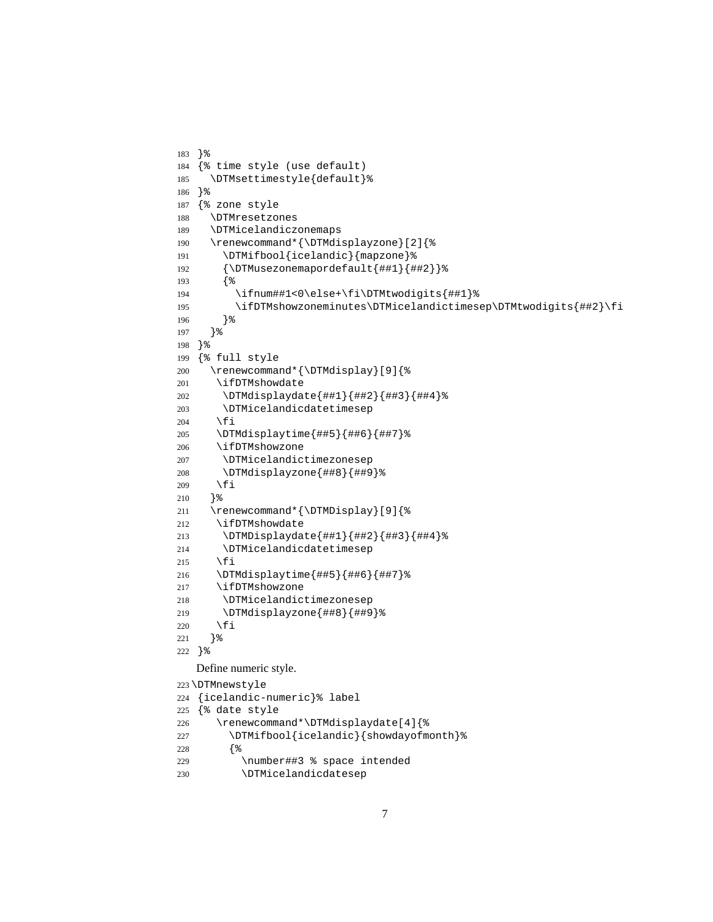```
183 }%
184 {% time style (use default)
185 \DTMsettimestyle{default}%
186 }%
187 {% zone style
188 \DTMresetzones
189 \DTMicelandiczonemaps
190 \renewcommand*{\DTMdisplayzone}[2]{%
191 \DTMifbool{icelandic}{mapzone}%
192 {\DTMusezonemapordefault{##1}{##2}}%
193 {%
194 \ifnum##1<0\else+\fi\DTMtwodigits{##1}%
195 \ifDTMshowzoneminutes\DTMicelandictimesep\DTMtwodigits{##2}\fi
196 }%
197 }%
198 }%
199 {% full style
200 \renewcommand*{\DTMdisplay}[9]{%
201 \ifDTMshowdate
202 \DTMdisplaydate{##1}{##2}{##3}{##4}%
203 \DTMicelandicdatetimesep
204 \fi
205 \DTMdisplaytime{##5}{##6}{##7}%
206 \ifDTMshowzone
207 \DTMicelandictimezonesep
208 \DTMdisplayzone{##8}{##9}%
209 \fi
210 }%
211 \renewcommand*{\DTMDisplay}[9]{%
212 \ifDTMshowdate
213 \DTMDisplaydate{##1}{##2}{##3}{##4}%
214 \DTMicelandicdatetimesep
215 \fi
216 \DTMdisplaytime{##5}{##6}{##7}%
217 \ifDTMshowzone
218 \DTMicelandictimezonesep
219 \DTMdisplayzone{##8}{##9}%
220 \fi
221 }%
222 }%
   Define numeric style.
223 \DTMnewstyle
224 {icelandic-numeric}% label
225 {% date style
226 \renewcommand*\DTMdisplaydate[4]{%
227 \DTMifbool{icelandic}{showdayofmonth}%
228 {%
229 \number##3 % space intended
230 \DTMicelandicdatesep
```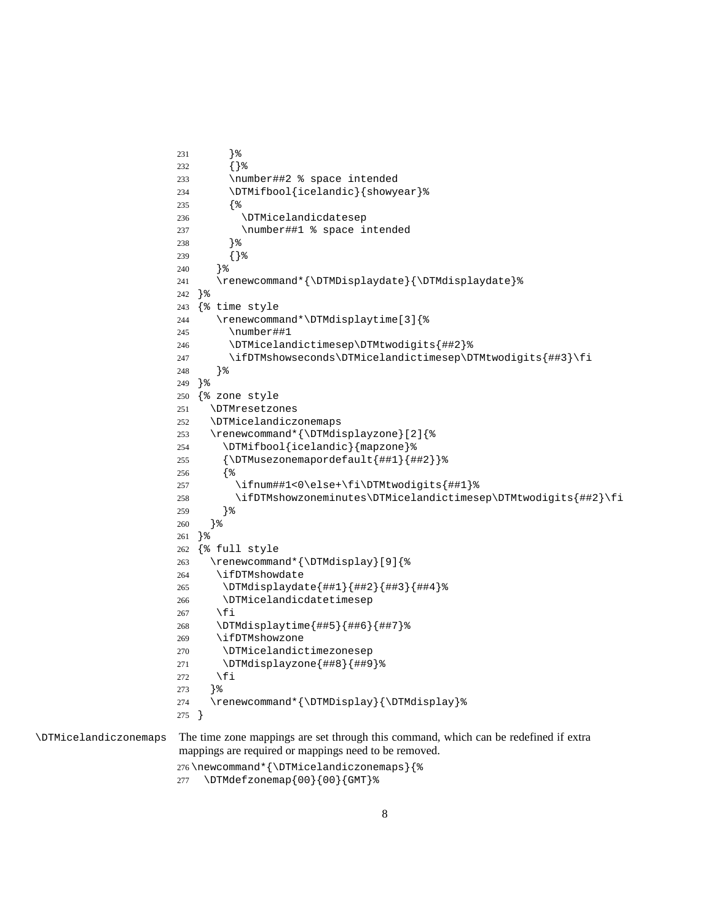```
231 }%
232 {}%
233 \number##2 % space intended
234 \DTMifbool{icelandic}{showyear}%
235 {%
236 \DTMicelandicdatesep
237 \number##1 % space intended
238 }%
239 {}%
240 }%
241 \renewcommand*{\DTMDisplaydate}{\DTMdisplaydate}%
242 }%
243 {% time style
244 \renewcommand*\DTMdisplaytime[3]{%
245 \number##1
246 \DTMicelandictimesep\DTMtwodigits{##2}%
247 \ifDTMshowseconds\DTMicelandictimesep\DTMtwodigits{##3}\fi
248 }%
249 }%
250 {% zone style
251 \DTMresetzones
252 \DTMicelandiczonemaps
253 \renewcommand*{\DTMdisplayzone}[2]{%
254 \DTMifbool{icelandic}{mapzone}%
255 {\DTMusezonemapordefault{##1}{##2}}%
256 {%
257 \ifnum##1<0\else+\fi\DTMtwodigits{##1}%
258 \ifDTMshowzoneminutes\DTMicelandictimesep\DTMtwodigits{##2}\fi
259 }%
260 }%
261 }%
262 {% full style
263 \renewcommand*{\DTMdisplay}[9]{%
264 \ifDTMshowdate
265 \DTMdisplaydate{##1}{##2}{##3}{##4}%
266 \DTMicelandicdatetimesep
267 \fi
268 \DTMdisplaytime{##5}{##6}{##7}%
269 \ifDTMshowzone
270 \DTMicelandictimezonesep
271 \DTMdisplayzone{##8}{##9}%
272 \fi
273 }%
274 \renewcommand*{\DTMDisplay}{\DTMdisplay}%
275 }
```
\DTMicelandiczonemaps The time zone mappings are set through this command, which can be redefined if extra mappings are required or mappings need to be removed.

```
276 \newcommand*{\DTMicelandiczonemaps}{%
```

```
277 \DTMdefzonemap{00}{00}{GMT}%
```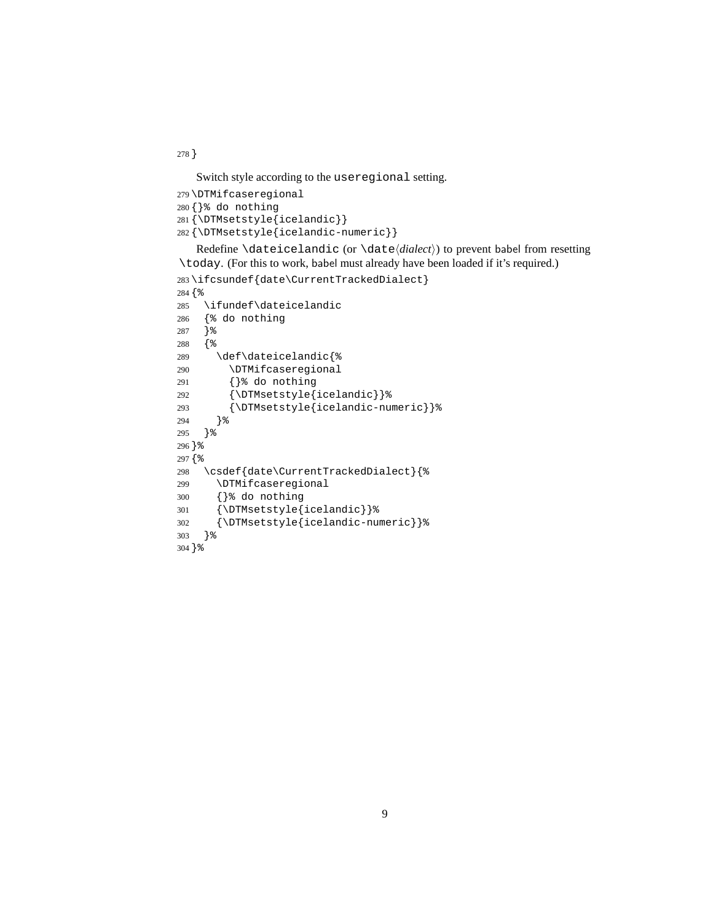<span id="page-8-0"></span>}

Switch style according to the useregional setting.

```
279 \DTMifcaseregional
280 {}% do nothing
281 {\DTMsetstyle{icelandic}}
282 {\DTMsetstyle{icelandic-numeric}}
```

```
Redefine \dateicelandic (or \date⟨dialect⟩) to prevent babel from resetting
\today. (For this to work, babel must already have been loaded if it's required.)
283 \ifcsundef{date\CurrentTrackedDialect}
284 {%
285 \ifundef\dateicelandic
286 {% do nothing
287 }%
288 {%
289 \def\dateicelandic{%
290 \DTMifcaseregional
291 {}% do nothing
292 {\DTMsetstyle{icelandic}}%
293 {\DTMsetstyle{icelandic-numeric}}%
294 }%
295 }%
296 }%
297 {%
298 \csdef{date\CurrentTrackedDialect}{%
299 \DTMifcaseregional
300 {}% do nothing
301 {\DTMsetstyle{icelandic}}%
302 {\DTMsetstyle{icelandic-numeric}}%
303 }%
304 }%
```